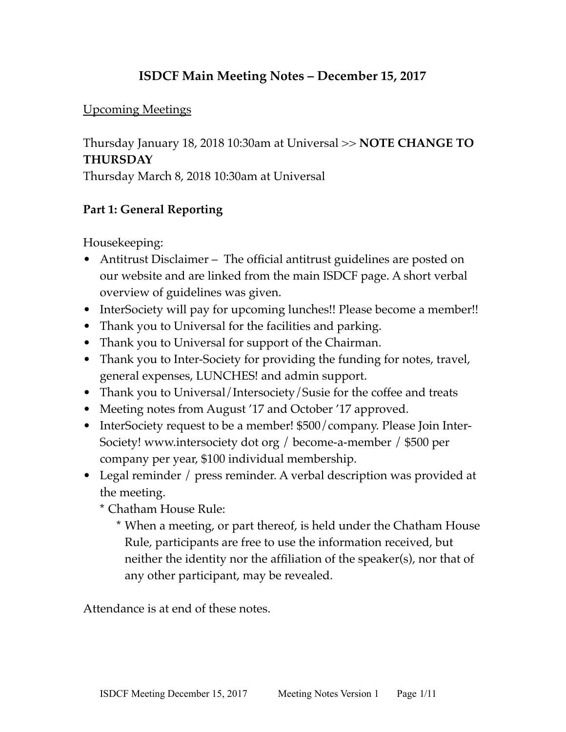## **ISDCF Main Meeting Notes – December 15, 2017**

#### Upcoming Meetings

Thursday January 18, 2018 10:30am at Universal >> **NOTE CHANGE TO THURSDAY**

Thursday March 8, 2018 10:30am at Universal

## **Part 1: General Reporting**

Housekeeping:

- Antitrust Disclaimer The official antitrust guidelines are posted on our website and are linked from the main ISDCF page. A short verbal overview of guidelines was given.
- InterSociety will pay for upcoming lunches!! Please become a member!!
- Thank you to Universal for the facilities and parking.
- Thank you to Universal for support of the Chairman.
- Thank you to Inter-Society for providing the funding for notes, travel, general expenses, LUNCHES! and admin support.
- Thank you to Universal/Intersociety/Susie for the coffee and treats
- Meeting notes from August '17 and October '17 approved.
- InterSociety request to be a member! \$500/company. Please Join Inter-Society! www.intersociety dot org / become-a-member / \$500 per company per year, \$100 individual membership.
- Legal reminder / press reminder. A verbal description was provided at the meeting.
	- \* Chatham House Rule:
		- \* When a meeting, or part thereof, is held under the Chatham House Rule, participants are free to use the information received, but neither the identity nor the affiliation of the speaker(s), nor that of any other participant, may be revealed.

Attendance is at end of these notes.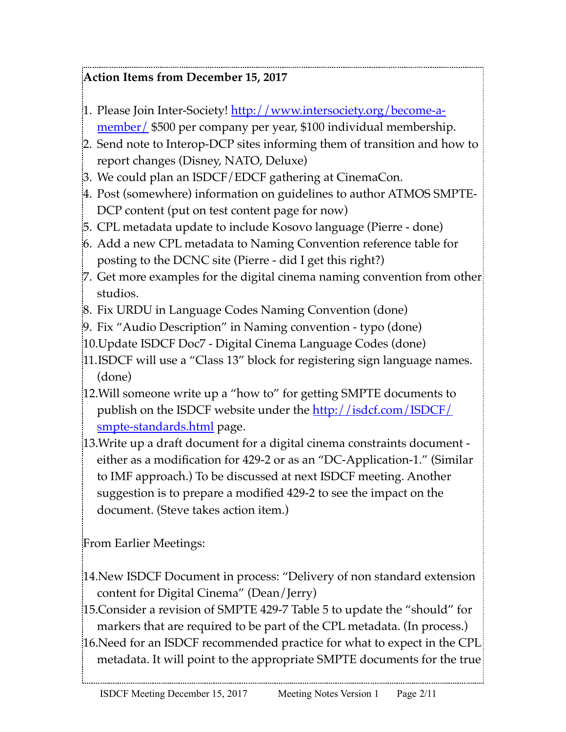# **Action Items from December 15, 2017**

- [1. Please Join Inter-Society! [http://www.intersociety.org/become-a](http://www.intersociety.org/become-a-member/)[member/](http://www.intersociety.org/become-a-member/) \$500 per company per year, \$100 individual membership.
- 2. Send note to Interop-DCP sites informing them of transition and how to report changes (Disney, NATO, Deluxe)
- 3. We could plan an ISDCF/EDCF gathering at CinemaCon.
- 4. Post (somewhere) information on guidelines to author ATMOS SMPTE-DCP content (put on test content page for now)
- 5. CPL metadata update to include Kosovo language (Pierre done)
- 6. Add a new CPL metadata to Naming Convention reference table for posting to the DCNC site (Pierre - did I get this right?)
- 7. Get more examples for the digital cinema naming convention from other studios.
- 8. Fix URDU in Language Codes Naming Convention (done)
- 9. Fix "Audio Description" in Naming convention typo (done)
- 10.Update ISDCF Doc7 Digital Cinema Language Codes (done)
- 11.ISDCF will use a "Class 13" block for registering sign language names. (done)
- 12.Will someone write up a "how to" for getting SMPTE documents to publish on the ISDCF website under the <u>[http://isdcf.com/ISDCF/](http://isdcf.com/ISDCF/smpte-standards.html)</u> [smpte-standards.html](http://isdcf.com/ISDCF/smpte-standards.html) page.
- 13.Write up a draft document for a digital cinema constraints document either as a modification for 429-2 or as an "DC-Application-1." (Similar to IMF approach.) To be discussed at next ISDCF meeting. Another suggestion is to prepare a modified 429-2 to see the impact on the document. (Steve takes action item.)

From Earlier Meetings:

- 14.New ISDCF Document in process: "Delivery of non standard extension content for Digital Cinema" (Dean/Jerry)
- 15.Consider a revision of SMPTE 429-7 Table 5 to update the "should" for markers that are required to be part of the CPL metadata. (In process.)
- 16.Need for an ISDCF recommended practice for what to expect in the CPL metadata. It will point to the appropriate SMPTE documents for the true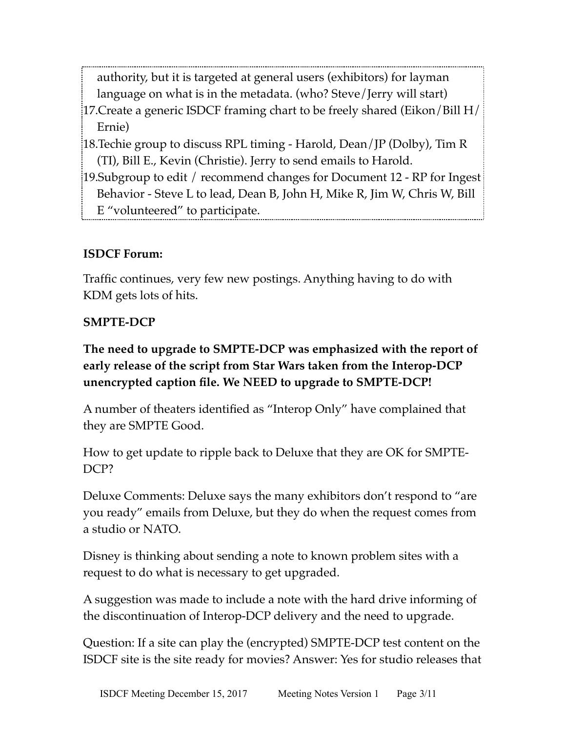authority, but it is targeted at general users (exhibitors) for layman language on what is in the metadata. (who? Steve/Jerry will start)

- 17.Create a generic ISDCF framing chart to be freely shared (Eikon/Bill H/ Ernie)
- 18.Techie group to discuss RPL timing Harold, Dean/JP (Dolby), Tim R (TI), Bill E., Kevin (Christie). Jerry to send emails to Harold.
- 19.Subgroup to edit / recommend changes for Document 12 RP for Ingest Behavior - Steve L to lead, Dean B, John H, Mike R, Jim W, Chris W, Bill E "volunteered" to participate.

## **ISDCF Forum:**

Traffic continues, very few new postings. Anything having to do with KDM gets lots of hits.

#### **SMPTE-DCP**

**The need to upgrade to SMPTE-DCP was emphasized with the report of early release of the script from Star Wars taken from the Interop-DCP unencrypted caption file. We NEED to upgrade to SMPTE-DCP!**

A number of theaters identified as "Interop Only" have complained that they are SMPTE Good.

How to get update to ripple back to Deluxe that they are OK for SMPTE-DCP?

Deluxe Comments: Deluxe says the many exhibitors don't respond to "are you ready" emails from Deluxe, but they do when the request comes from a studio or NATO.

Disney is thinking about sending a note to known problem sites with a request to do what is necessary to get upgraded.

A suggestion was made to include a note with the hard drive informing of the discontinuation of Interop-DCP delivery and the need to upgrade.

Question: If a site can play the (encrypted) SMPTE-DCP test content on the ISDCF site is the site ready for movies? Answer: Yes for studio releases that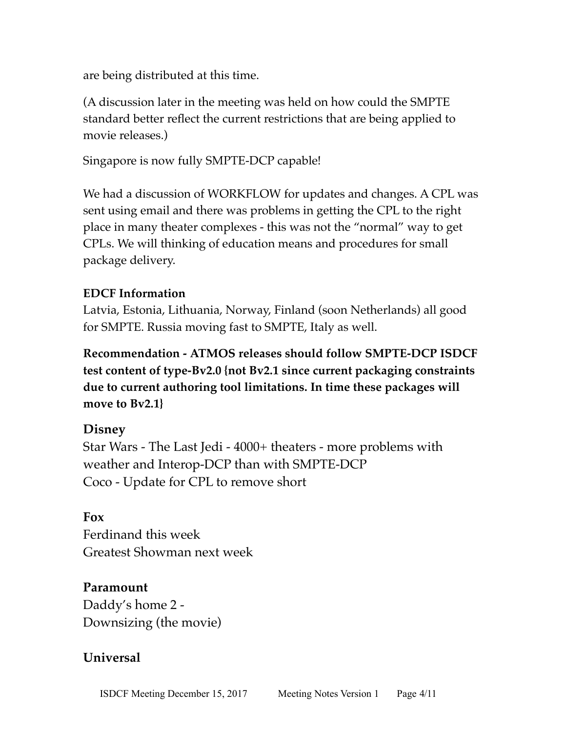are being distributed at this time.

(A discussion later in the meeting was held on how could the SMPTE standard better reflect the current restrictions that are being applied to movie releases.)

Singapore is now fully SMPTE-DCP capable!

We had a discussion of WORKFLOW for updates and changes. A CPL was sent using email and there was problems in getting the CPL to the right place in many theater complexes - this was not the "normal" way to get CPLs. We will thinking of education means and procedures for small package delivery.

#### **EDCF Information**

Latvia, Estonia, Lithuania, Norway, Finland (soon Netherlands) all good for SMPTE. Russia moving fast to SMPTE, Italy as well.

**Recommendation - ATMOS releases should follow SMPTE-DCP ISDCF test content of type-Bv2.0 {not Bv2.1 since current packaging constraints due to current authoring tool limitations. In time these packages will move to Bv2.1}**

#### **Disney**

Star Wars - The Last Jedi - 4000+ theaters - more problems with weather and Interop-DCP than with SMPTE-DCP Coco - Update for CPL to remove short

#### **Fox**

Ferdinand this week Greatest Showman next week

## **Paramount**

Daddy's home 2 - Downsizing (the movie)

## **Universal**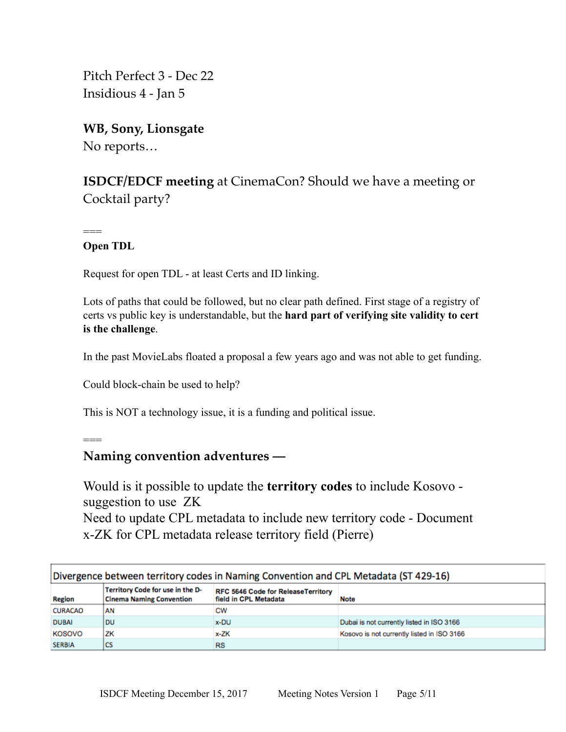Pitch Perfect 3 - Dec 22 Insidious 4 - Jan 5

**WB, Sony, Lionsgate** No reports…

**ISDCF/EDCF meeting** at CinemaCon? Should we have a meeting or Cocktail party?

**Open TDL** 

 $==$ 

===

Request for open TDL - at least Certs and ID linking.

Lots of paths that could be followed, but no clear path defined. First stage of a registry of certs vs public key is understandable, but the **hard part of verifying site validity to cert is the challenge**.

In the past MovieLabs floated a proposal a few years ago and was not able to get funding.

Could block-chain be used to help?

This is NOT a technology issue, it is a funding and political issue.

## **Naming convention adventures —**

Would is it possible to update the **territory codes** to include Kosovo suggestion to use ZK Need to update CPL metadata to include new territory code - Document x-ZK for CPL metadata release territory field (Pierre)

| Divergence between territory codes in Naming Convention and CPL Metadata (ST 429-16) |                                                                     |                                                                    |                                            |
|--------------------------------------------------------------------------------------|---------------------------------------------------------------------|--------------------------------------------------------------------|--------------------------------------------|
| <b>Region</b>                                                                        | Territory Code for use in the D-<br><b>Cinema Naming Convention</b> | <b>RFC 5646 Code for ReleaseTerritory</b><br>field in CPL Metadata | <b>Note</b>                                |
| <b>CURACAO</b>                                                                       | AN                                                                  | CW                                                                 |                                            |
| <b>DUBAI</b>                                                                         | DU                                                                  | x-DU                                                               | Dubai is not currently listed in ISO 3166  |
| <b>KOSOVO</b>                                                                        | ZK                                                                  | $x-ZK$                                                             | Kosovo is not currently listed in ISO 3166 |
| <b>SERBIA</b>                                                                        | l CS                                                                | RS                                                                 |                                            |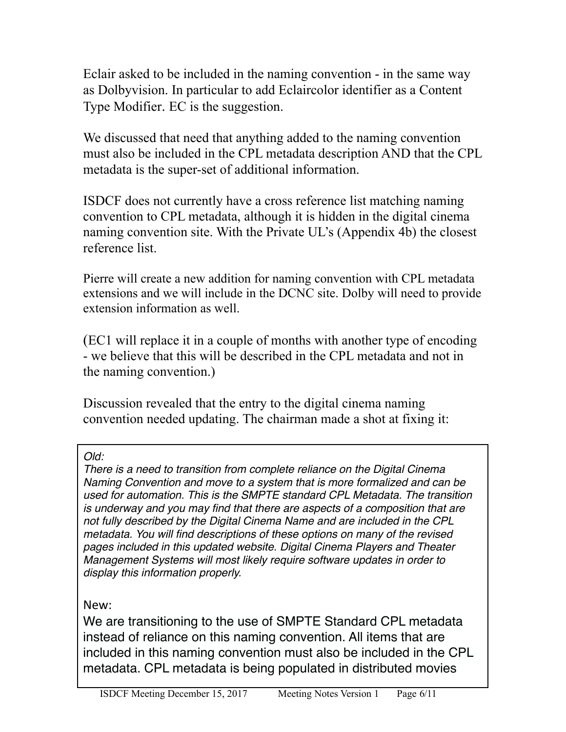Eclair asked to be included in the naming convention - in the same way as Dolbyvision. In particular to add Eclaircolor identifier as a Content Type Modifier. EC is the suggestion.

We discussed that need that anything added to the naming convention must also be included in the CPL metadata description AND that the CPL metadata is the super-set of additional information.

ISDCF does not currently have a cross reference list matching naming convention to CPL metadata, although it is hidden in the digital cinema naming convention site. With the Private UL's (Appendix 4b) the closest reference list.

Pierre will create a new addition for naming convention with CPL metadata extensions and we will include in the DCNC site. Dolby will need to provide extension information as well.

(EC1 will replace it in a couple of months with another type of encoding - we believe that this will be described in the CPL metadata and not in the naming convention.)

Discussion revealed that the entry to the digital cinema naming convention needed updating. The chairman made a shot at fixing it:

#### *Old:*

*There is a need to transition from complete reliance on the Digital Cinema Naming Convention and move to a system that is more formalized and can be used for automation. This is the SMPTE standard CPL Metadata. The transition is underway and you may find that there are aspects of a composition that are not fully described by the Digital Cinema Name and are included in the CPL metadata. You will find descriptions of these options on many of the revised pages included in this updated website. Digital Cinema Players and Theater Management Systems will most likely require software updates in order to display this information properly.*

New: 

We are transitioning to the use of SMPTE Standard CPL metadata instead of reliance on this naming convention. All items that are included in this naming convention must also be included in the CPL metadata. CPL metadata is being populated in distributed movies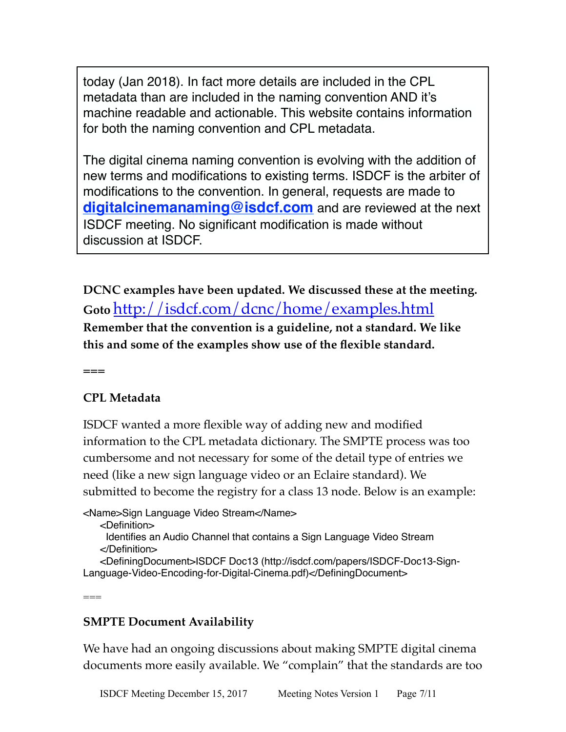today (Jan 2018). In fact more details are included in the CPL metadata than are included in the naming convention AND it's machine readable and actionable. This website contains information for both the naming convention and CPL metadata.

The digital cinema naming convention is evolving with the addition of new terms and modifications to existing terms. ISDCF is the arbiter of modifications to the convention. In general, requests are made to **[digitalcinemanaming@isdcf.com](mailto:digitalcinemanaming@isdcf.com)** and are reviewed at the next ISDCF meeting. No significant modification is made without discussion at ISDCF.

**DCNC examples have been updated. We discussed these at the meeting. Goto** <http://isdcf.com/dcnc/home/examples.html> **Remember that the convention is a guideline, not a standard. We like this and some of the examples show use of the flexible standard.**

**===**

 $=$ 

## **CPL Metadata**

ISDCF wanted a more flexible way of adding new and modified information to the CPL metadata dictionary. The SMPTE process was too cumbersome and not necessary for some of the detail type of entries we need (like a new sign language video or an Eclaire standard). We submitted to become the registry for a class 13 node. Below is an example:

<Name>Sign Language Video Stream</Name>

<Definition>

 Identifies an Audio Channel that contains a Sign Language Video Stream </Definition>

 <DefiningDocument>ISDCF Doc13 (http://isdcf.com/papers/ISDCF-Doc13-Sign-Language-Video-Encoding-for-Digital-Cinema.pdf)</DefiningDocument>

**SMPTE Document Availability**

We have had an ongoing discussions about making SMPTE digital cinema documents more easily available. We "complain" that the standards are too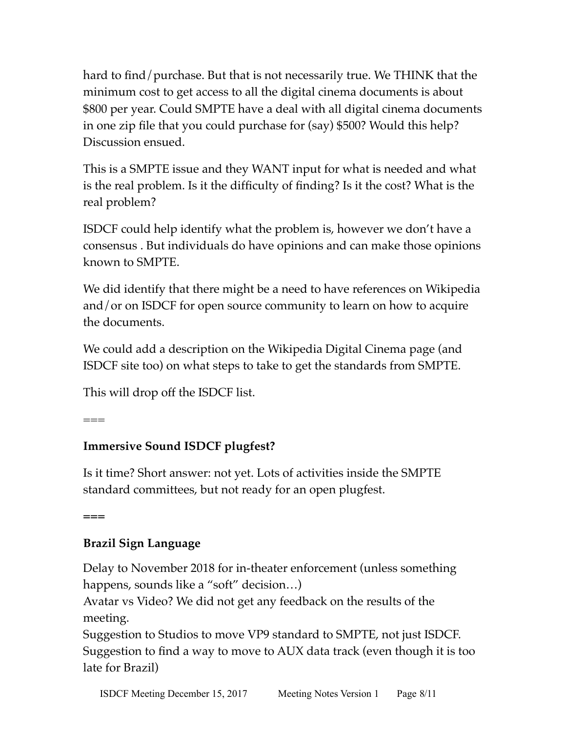hard to find/purchase. But that is not necessarily true. We THINK that the minimum cost to get access to all the digital cinema documents is about \$800 per year. Could SMPTE have a deal with all digital cinema documents in one zip file that you could purchase for (say) \$500? Would this help? Discussion ensued.

This is a SMPTE issue and they WANT input for what is needed and what is the real problem. Is it the difficulty of finding? Is it the cost? What is the real problem?

ISDCF could help identify what the problem is, however we don't have a consensus . But individuals do have opinions and can make those opinions known to SMPTE.

We did identify that there might be a need to have references on Wikipedia and/or on ISDCF for open source community to learn on how to acquire the documents.

We could add a description on the Wikipedia Digital Cinema page (and ISDCF site too) on what steps to take to get the standards from SMPTE.

This will drop off the ISDCF list.

 $=$ 

# **Immersive Sound ISDCF plugfest?**

Is it time? Short answer: not yet. Lots of activities inside the SMPTE standard committees, but not ready for an open plugfest.

**===**

# **Brazil Sign Language**

Delay to November 2018 for in-theater enforcement (unless something happens, sounds like a "soft" decision...)

Avatar vs Video? We did not get any feedback on the results of the meeting.

Suggestion to Studios to move VP9 standard to SMPTE, not just ISDCF. Suggestion to find a way to move to AUX data track (even though it is too late for Brazil)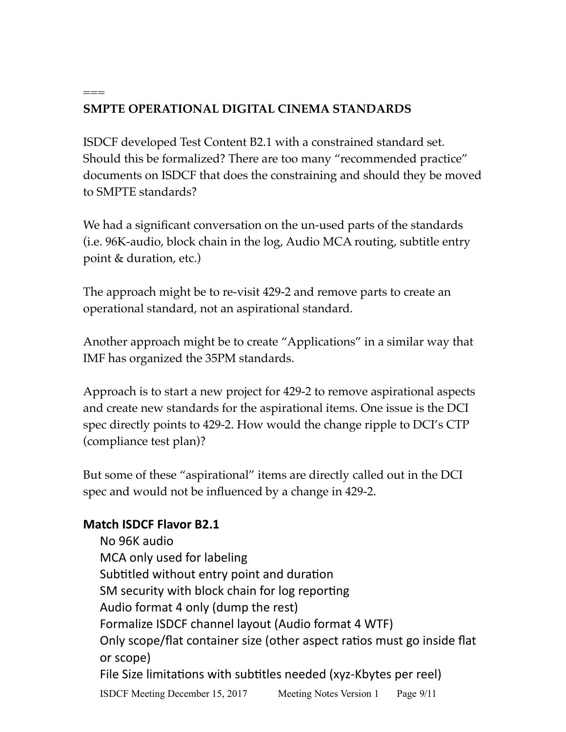# **SMPTE OPERATIONAL DIGITAL CINEMA STANDARDS**

ISDCF developed Test Content B2.1 with a constrained standard set. Should this be formalized? There are too many "recommended practice" documents on ISDCF that does the constraining and should they be moved to SMPTE standards?

We had a significant conversation on the un-used parts of the standards (i.e. 96K-audio, block chain in the log, Audio MCA routing, subtitle entry point & duration, etc.)

The approach might be to re-visit 429-2 and remove parts to create an operational standard, not an aspirational standard.

Another approach might be to create "Applications" in a similar way that IMF has organized the 35PM standards.

Approach is to start a new project for 429-2 to remove aspirational aspects and create new standards for the aspirational items. One issue is the DCI spec directly points to 429-2. How would the change ripple to DCI's CTP (compliance test plan)?

But some of these "aspirational" items are directly called out in the DCI spec and would not be influenced by a change in 429-2.

## **Match ISDCF Flavor B2.1**

 $===$ 

No 96K audio MCA only used for labeling Subtitled without entry point and duration SM security with block chain for log reporting Audio format 4 only (dump the rest) Formalize ISDCF channel layout (Audio format 4 WTF) Only scope/flat container size (other aspect ratios must go inside flat or scope) File Size limitations with subtitles needed (xyz-Kbytes per reel) ISDCF Meeting December 15, 2017 Meeting Notes Version 1 Page 9/11